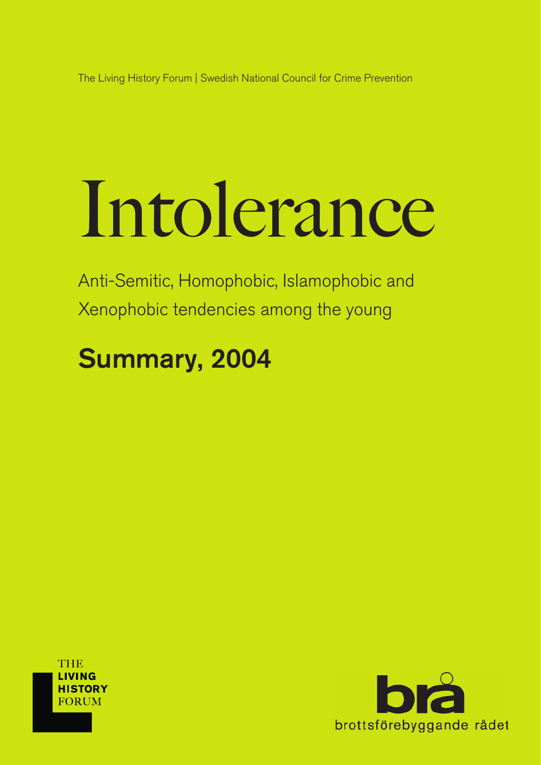The Living History Forum | Swedish National Council for Crime Prevention

# Intolerance

Anti-Semitic, Homophobic, Islamophobic and Xenophobic tendencies among the young

# Summary, 2004



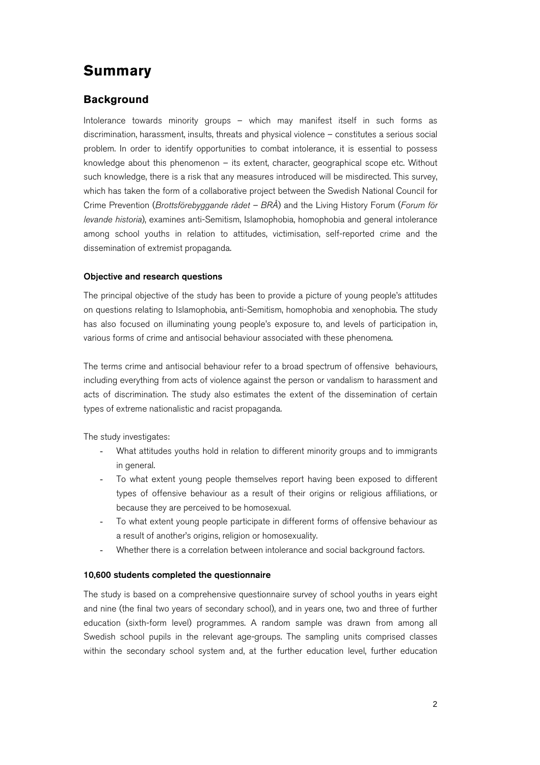# **Summary**

# **Background**

Intolerance towards minority groups – which may manifest itself in such forms as discrimination, harassment, insults, threats and physical violence – constitutes a serious social problem. In order to identify opportunities to combat intolerance, it is essential to possess knowledge about this phenomenon – its extent, character, geographical scope etc. Without such knowledge, there is a risk that any measures introduced will be misdirected. This survey, which has taken the form of a collaborative project between the Swedish National Council for Crime Prevention (*Brottsförebyggande rådet – BRÅ*) and the Living History Forum (*Forum för levande historia*), examines anti-Semitism, Islamophobia, homophobia and general intolerance among school youths in relation to attitudes, victimisation, self-reported crime and the dissemination of extremist propaganda.

#### Objective and research questions

The principal objective of the study has been to provide a picture of young people's attitudes on questions relating to Islamophobia, anti-Semitism, homophobia and xenophobia. The study has also focused on illuminating young people's exposure to, and levels of participation in, various forms of crime and antisocial behaviour associated with these phenomena.

The terms crime and antisocial behaviour refer to a broad spectrum of offensive behaviours, including everything from acts of violence against the person or vandalism to harassment and acts of discrimination. The study also estimates the extent of the dissemination of certain types of extreme nationalistic and racist propaganda.

The study investigates:

- What attitudes youths hold in relation to different minority groups and to immigrants in general.
- To what extent young people themselves report having been exposed to different types of offensive behaviour as a result of their origins or religious affiliations, or because they are perceived to be homosexual.
- To what extent young people participate in different forms of offensive behaviour as a result of another's origins, religion or homosexuality.
- Whether there is a correlation between intolerance and social background factors.

#### 10,600 students completed the questionnaire

The study is based on a comprehensive questionnaire survey of school youths in years eight and nine (the final two years of secondary school), and in years one, two and three of further education (sixth-form level) programmes. A random sample was drawn from among all Swedish school pupils in the relevant age-groups. The sampling units comprised classes within the secondary school system and, at the further education level, further education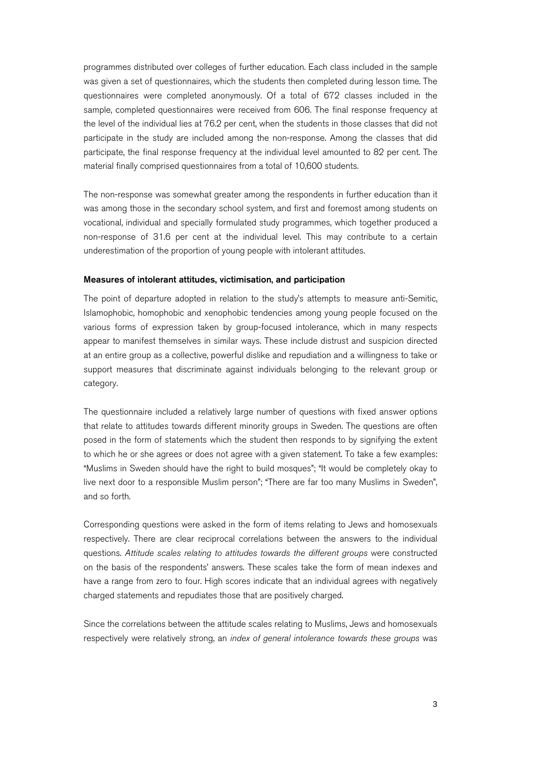programmes distributed over colleges of further education. Each class included in the sample was given a set of questionnaires, which the students then completed during lesson time. The questionnaires were completed anonymously. Of a total of 672 classes included in the sample, completed questionnaires were received from 606. The final response frequency at the level of the individual lies at 76.2 per cent, when the students in those classes that did not participate in the study are included among the non-response. Among the classes that did participate, the final response frequency at the individual level amounted to 82 per cent. The material finally comprised questionnaires from a total of 10,600 students.

The non-response was somewhat greater among the respondents in further education than it was among those in the secondary school system, and first and foremost among students on vocational, individual and specially formulated study programmes, which together produced a non-response of 31.6 per cent at the individual level. This may contribute to a certain underestimation of the proportion of young people with intolerant attitudes.

#### Measures of intolerant attitudes, victimisation, and participation

The point of departure adopted in relation to the study's attempts to measure anti-Semitic, Islamophobic, homophobic and xenophobic tendencies among young people focused on the various forms of expression taken by group-focused intolerance, which in many respects appear to manifest themselves in similar ways. These include distrust and suspicion directed at an entire group as a collective, powerful dislike and repudiation and a willingness to take or support measures that discriminate against individuals belonging to the relevant group or category.

The questionnaire included a relatively large number of questions with fixed answer options that relate to attitudes towards different minority groups in Sweden. The questions are often posed in the form of statements which the student then responds to by signifying the extent to which he or she agrees or does not agree with a given statement. To take a few examples: "Muslims in Sweden should have the right to build mosques"; "It would be completely okay to live next door to a responsible Muslim person"; "There are far too many Muslims in Sweden", and so forth.

Corresponding questions were asked in the form of items relating to Jews and homosexuals respectively. There are clear reciprocal correlations between the answers to the individual questions. *Attitude scales relating to attitudes towards the different groups* were constructed on the basis of the respondents' answers. These scales take the form of mean indexes and have a range from zero to four. High scores indicate that an individual agrees with negatively charged statements and repudiates those that are positively charged.

Since the correlations between the attitude scales relating to Muslims, Jews and homosexuals respectively were relatively strong, an *index of general intolerance towards these groups* was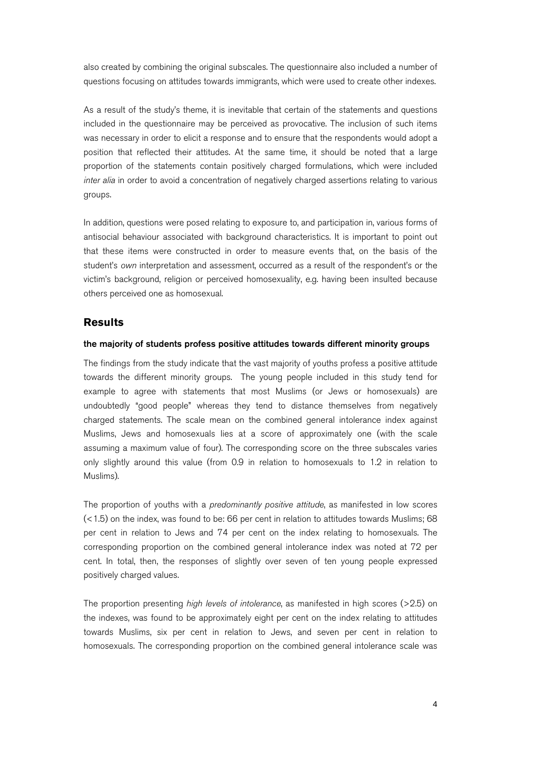also created by combining the original subscales. The questionnaire also included a number of questions focusing on attitudes towards immigrants, which were used to create other indexes.

As a result of the study's theme, it is inevitable that certain of the statements and questions included in the questionnaire may be perceived as provocative. The inclusion of such items was necessary in order to elicit a response and to ensure that the respondents would adopt a position that reflected their attitudes. At the same time, it should be noted that a large proportion of the statements contain positively charged formulations, which were included *inter alia* in order to avoid a concentration of negatively charged assertions relating to various groups.

In addition, questions were posed relating to exposure to, and participation in, various forms of antisocial behaviour associated with background characteristics. It is important to point out that these items were constructed in order to measure events that, on the basis of the student's *own* interpretation and assessment, occurred as a result of the respondent's or the victim's background, religion or perceived homosexuality, e.g. having been insulted because others perceived one as homosexual.

## **Results**

#### the majority of students profess positive attitudes towards different minority groups

The findings from the study indicate that the vast majority of youths profess a positive attitude towards the different minority groups. The young people included in this study tend for example to agree with statements that most Muslims (or Jews or homosexuals) are undoubtedly "good people" whereas they tend to distance themselves from negatively charged statements. The scale mean on the combined general intolerance index against Muslims, Jews and homosexuals lies at a score of approximately one (with the scale assuming a maximum value of four). The corresponding score on the three subscales varies only slightly around this value (from 0.9 in relation to homosexuals to 1.2 in relation to Muslims).

The proportion of youths with a *predominantly positive attitude*, as manifested in low scores (<1.5) on the index, was found to be: 66 per cent in relation to attitudes towards Muslims; 68 per cent in relation to Jews and 74 per cent on the index relating to homosexuals. The corresponding proportion on the combined general intolerance index was noted at 72 per cent. In total, then, the responses of slightly over seven of ten young people expressed positively charged values.

The proportion presenting *high levels of intolerance*, as manifested in high scores (>2.5) on the indexes, was found to be approximately eight per cent on the index relating to attitudes towards Muslims, six per cent in relation to Jews, and seven per cent in relation to homosexuals. The corresponding proportion on the combined general intolerance scale was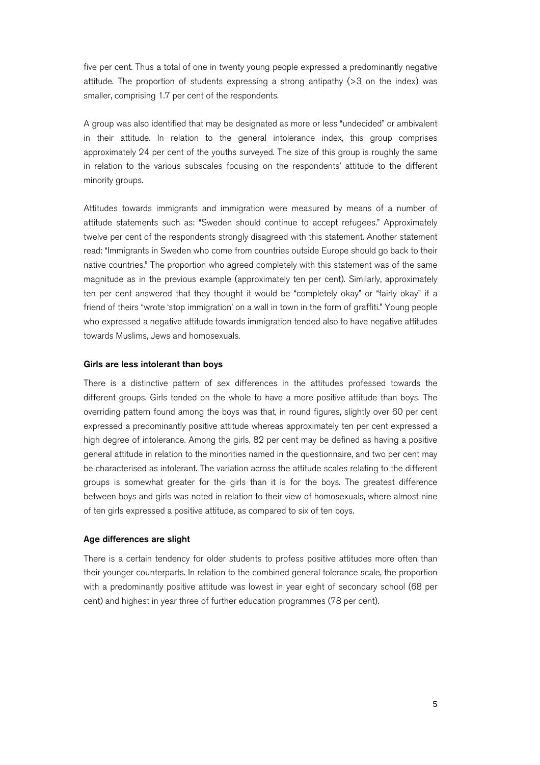five per cent. Thus a total of one in twenty young people expressed a predominantly negative attitude. The proportion of students expressing a strong antipathy (>3 on the index) was smaller, comprising 1.7 per cent of the respondents.

A group was also identified that may be designated as more or less "undecided" or ambivalent in their attitude. In relation to the general intolerance index, this group comprises approximately 24 per cent of the youths surveyed. The size of this group is roughly the same in relation to the various subscales focusing on the respondents' attitude to the different minority groups.

Attitudes towards immigrants and immigration were measured by means of a number of attitude statements such as: "Sweden should continue to accept refugees." Approximately twelve per cent of the respondents strongly disagreed with this statement. Another statement read: "Immigrants in Sweden who come from countries outside Europe should go back to their native countries." The proportion who agreed completely with this statement was of the same magnitude as in the previous example (approximately ten per cent). Similarly, approximately ten per cent answered that they thought it would be "completely okay" or "fairly okay" if a friend of theirs "wrote 'stop immigration' on a wall in town in the form of graffiti." Young people who expressed a negative attitude towards immigration tended also to have negative attitudes towards Muslims, Jews and homosexuals.

#### Girls are less intolerant than boys

There is a distinctive pattern of sex differences in the attitudes professed towards the different groups. Girls tended on the whole to have a more positive attitude than boys. The overriding pattern found among the boys was that, in round figures, slightly over 60 per cent expressed a predominantly positive attitude whereas approximately ten per cent expressed a high degree of intolerance. Among the girls, 82 per cent may be defined as having a positive general attitude in relation to the minorities named in the questionnaire, and two per cent may be characterised as intolerant. The variation across the attitude scales relating to the different groups is somewhat greater for the girls than it is for the boys. The greatest difference between boys and girls was noted in relation to their view of homosexuals, where almost nine of ten girls expressed a positive attitude, as compared to six of ten boys.

#### Age differences are slight

There is a certain tendency for older students to profess positive attitudes more often than their younger counterparts. In relation to the combined general tolerance scale, the proportion with a predominantly positive attitude was lowest in year eight of secondary school (68 per cent) and highest in year three of further education programmes (78 per cent).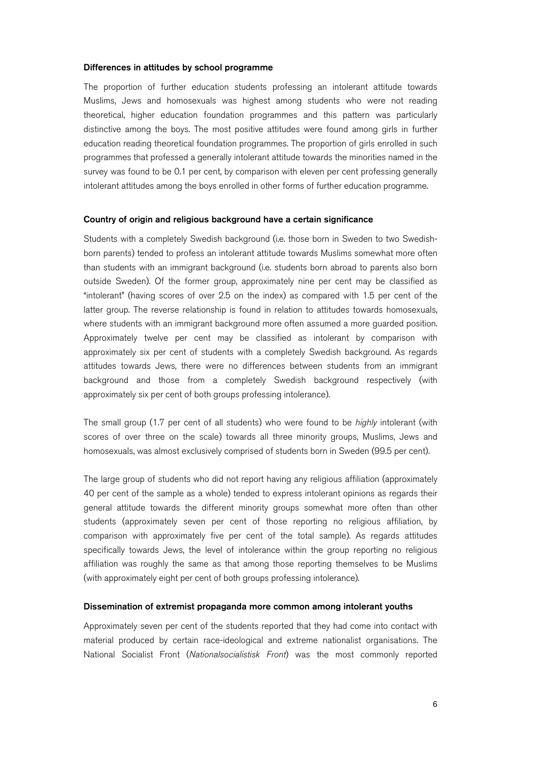#### Differences in attitudes by school programme

The proportion of further education students professing an intolerant attitude towards Muslims, Jews and homosexuals was highest among students who were not reading theoretical, higher education foundation programmes and this pattern was particularly distinctive among the boys. The most positive attitudes were found among girls in further education reading theoretical foundation programmes. The proportion of girls enrolled in such programmes that professed a generally intolerant attitude towards the minorities named in the survey was found to be 0.1 per cent, by comparison with eleven per cent professing generally intolerant attitudes among the boys enrolled in other forms of further education programme.

#### Country of origin and religious background have a certain significance

Students with a completely Swedish background (i.e. those born in Sweden to two Swedishborn parents) tended to profess an intolerant attitude towards Muslims somewhat more often than students with an immigrant background (i.e. students born abroad to parents also born outside Sweden). Of the former group, approximately nine per cent may be classified as "intolerant" (having scores of over 2.5 on the index) as compared with 1.5 per cent of the latter group. The reverse relationship is found in relation to attitudes towards homosexuals, where students with an immigrant background more often assumed a more guarded position. Approximately twelve per cent may be classified as intolerant by comparison with approximately six per cent of students with a completely Swedish background. As regards attitudes towards Jews, there were no differences between students from an immigrant background and those from a completely Swedish background respectively (with approximately six per cent of both groups professing intolerance).

The small group (1.7 per cent of all students) who were found to be *highly* intolerant (with scores of over three on the scale) towards all three minority groups, Muslims, Jews and homosexuals, was almost exclusively comprised of students born in Sweden (99.5 per cent).

The large group of students who did not report having any religious affiliation (approximately 40 per cent of the sample as a whole) tended to express intolerant opinions as regards their general attitude towards the different minority groups somewhat more often than other students (approximately seven per cent of those reporting no religious affiliation, by comparison with approximately five per cent of the total sample). As regards attitudes specifically towards Jews, the level of intolerance within the group reporting no religious affiliation was roughly the same as that among those reporting themselves to be Muslims (with approximately eight per cent of both groups professing intolerance).

#### Dissemination of extremist propaganda more common among intolerant youths

Approximately seven per cent of the students reported that they had come into contact with material produced by certain race-ideological and extreme nationalist organisations. The National Socialist Front (*Nationalsocialistisk Front*) was the most commonly reported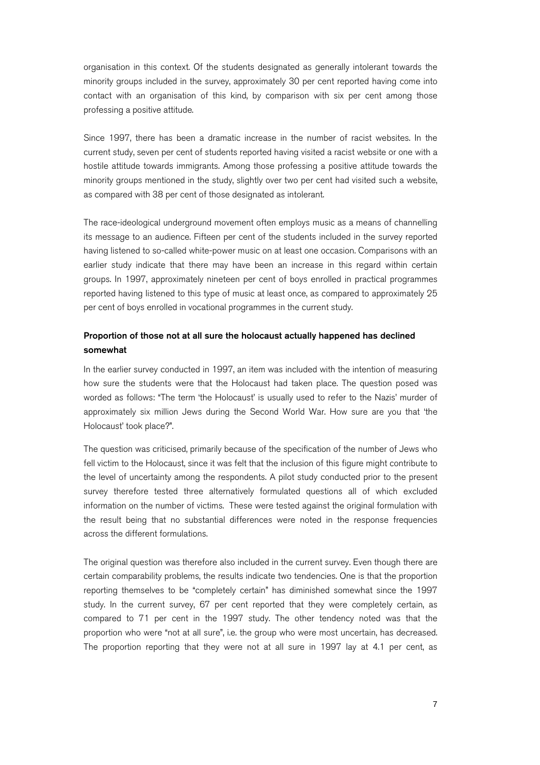organisation in this context. Of the students designated as generally intolerant towards the minority groups included in the survey, approximately 30 per cent reported having come into contact with an organisation of this kind, by comparison with six per cent among those professing a positive attitude.

Since 1997, there has been a dramatic increase in the number of racist websites. In the current study, seven per cent of students reported having visited a racist website or one with a hostile attitude towards immigrants. Among those professing a positive attitude towards the minority groups mentioned in the study, slightly over two per cent had visited such a website, as compared with 38 per cent of those designated as intolerant.

The race-ideological underground movement often employs music as a means of channelling its message to an audience. Fifteen per cent of the students included in the survey reported having listened to so-called white-power music on at least one occasion. Comparisons with an earlier study indicate that there may have been an increase in this regard within certain groups. In 1997, approximately nineteen per cent of boys enrolled in practical programmes reported having listened to this type of music at least once, as compared to approximately 25 per cent of boys enrolled in vocational programmes in the current study.

## Proportion of those not at all sure the holocaust actually happened has declined somewhat

In the earlier survey conducted in 1997, an item was included with the intention of measuring how sure the students were that the Holocaust had taken place. The question posed was worded as follows: "The term 'the Holocaust' is usually used to refer to the Nazis' murder of approximately six million Jews during the Second World War. How sure are you that 'the Holocaust' took place?".

The question was criticised, primarily because of the specification of the number of Jews who fell victim to the Holocaust, since it was felt that the inclusion of this figure might contribute to the level of uncertainty among the respondents. A pilot study conducted prior to the present survey therefore tested three alternatively formulated questions all of which excluded information on the number of victims. These were tested against the original formulation with the result being that no substantial differences were noted in the response frequencies across the different formulations.

The original question was therefore also included in the current survey. Even though there are certain comparability problems, the results indicate two tendencies. One is that the proportion reporting themselves to be "completely certain" has diminished somewhat since the 1997 study. In the current survey, 67 per cent reported that they were completely certain, as compared to 71 per cent in the 1997 study. The other tendency noted was that the proportion who were "not at all sure", i.e. the group who were most uncertain, has decreased. The proportion reporting that they were not at all sure in 1997 lay at 4.1 per cent, as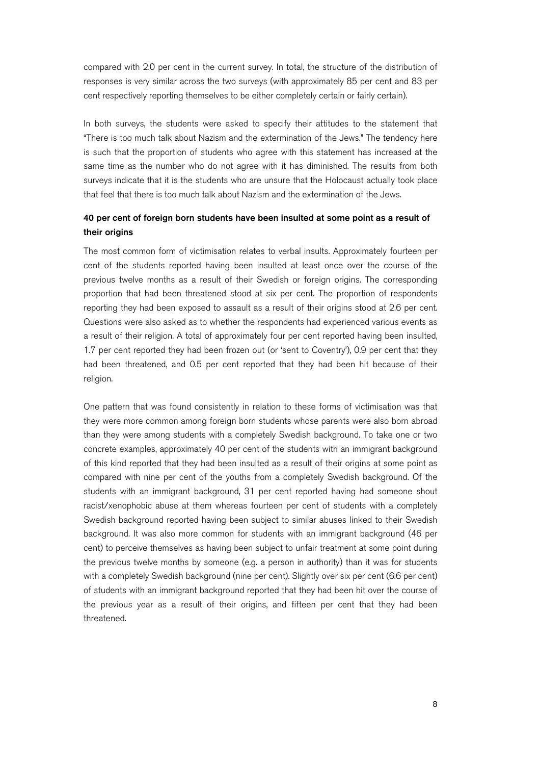compared with 2.0 per cent in the current survey. In total, the structure of the distribution of responses is very similar across the two surveys (with approximately 85 per cent and 83 per cent respectively reporting themselves to be either completely certain or fairly certain).

In both surveys, the students were asked to specify their attitudes to the statement that "There is too much talk about Nazism and the extermination of the Jews." The tendency here is such that the proportion of students who agree with this statement has increased at the same time as the number who do not agree with it has diminished. The results from both surveys indicate that it is the students who are unsure that the Holocaust actually took place that feel that there is too much talk about Nazism and the extermination of the Jews.

## 40 per cent of foreign born students have been insulted at some point as a result of their origins

The most common form of victimisation relates to verbal insults. Approximately fourteen per cent of the students reported having been insulted at least once over the course of the previous twelve months as a result of their Swedish or foreign origins. The corresponding proportion that had been threatened stood at six per cent. The proportion of respondents reporting they had been exposed to assault as a result of their origins stood at 2.6 per cent. Questions were also asked as to whether the respondents had experienced various events as a result of their religion. A total of approximately four per cent reported having been insulted, 1.7 per cent reported they had been frozen out (or 'sent to Coventry'), 0.9 per cent that they had been threatened, and 0.5 per cent reported that they had been hit because of their religion.

One pattern that was found consistently in relation to these forms of victimisation was that they were more common among foreign born students whose parents were also born abroad than they were among students with a completely Swedish background. To take one or two concrete examples, approximately 40 per cent of the students with an immigrant background of this kind reported that they had been insulted as a result of their origins at some point as compared with nine per cent of the youths from a completely Swedish background. Of the students with an immigrant background, 31 per cent reported having had someone shout racist/xenophobic abuse at them whereas fourteen per cent of students with a completely Swedish background reported having been subject to similar abuses linked to their Swedish background. It was also more common for students with an immigrant background (46 per cent) to perceive themselves as having been subject to unfair treatment at some point during the previous twelve months by someone (e.g. a person in authority) than it was for students with a completely Swedish background (nine per cent). Slightly over six per cent (6.6 per cent) of students with an immigrant background reported that they had been hit over the course of the previous year as a result of their origins, and fifteen per cent that they had been threatened.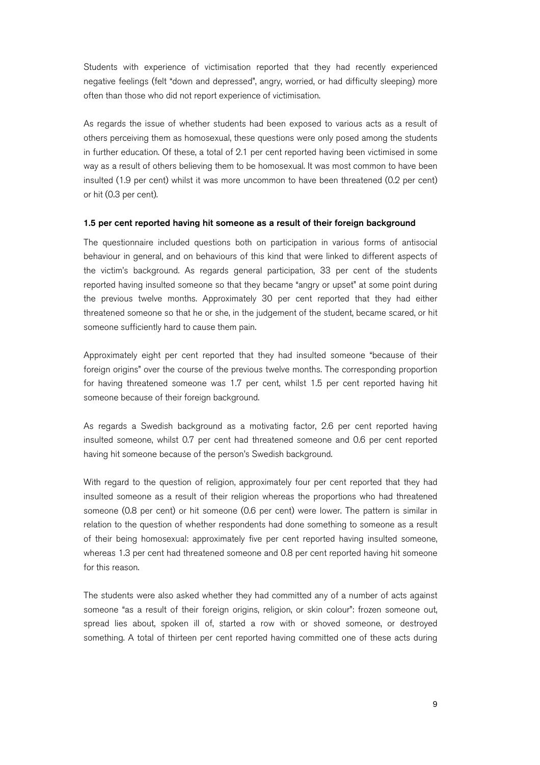Students with experience of victimisation reported that they had recently experienced negative feelings (felt "down and depressed", angry, worried, or had difficulty sleeping) more often than those who did not report experience of victimisation.

As regards the issue of whether students had been exposed to various acts as a result of others perceiving them as homosexual, these questions were only posed among the students in further education. Of these, a total of 2.1 per cent reported having been victimised in some way as a result of others believing them to be homosexual. It was most common to have been insulted (1.9 per cent) whilst it was more uncommon to have been threatened (0.2 per cent) or hit (0.3 per cent).

#### 1.5 per cent reported having hit someone as a result of their foreign background

The questionnaire included questions both on participation in various forms of antisocial behaviour in general, and on behaviours of this kind that were linked to different aspects of the victim's background. As regards general participation, 33 per cent of the students reported having insulted someone so that they became "angry or upset" at some point during the previous twelve months. Approximately 30 per cent reported that they had either threatened someone so that he or she, in the judgement of the student, became scared, or hit someone sufficiently hard to cause them pain.

Approximately eight per cent reported that they had insulted someone "because of their foreign origins" over the course of the previous twelve months. The corresponding proportion for having threatened someone was 1.7 per cent, whilst 1.5 per cent reported having hit someone because of their foreign background.

As regards a Swedish background as a motivating factor, 2.6 per cent reported having insulted someone, whilst 0.7 per cent had threatened someone and 0.6 per cent reported having hit someone because of the person's Swedish background.

With regard to the question of religion, approximately four per cent reported that they had insulted someone as a result of their religion whereas the proportions who had threatened someone (0.8 per cent) or hit someone (0.6 per cent) were lower. The pattern is similar in relation to the question of whether respondents had done something to someone as a result of their being homosexual: approximately five per cent reported having insulted someone, whereas 1.3 per cent had threatened someone and 0.8 per cent reported having hit someone for this reason.

The students were also asked whether they had committed any of a number of acts against someone "as a result of their foreign origins, religion, or skin colour": frozen someone out, spread lies about, spoken ill of, started a row with or shoved someone, or destroyed something. A total of thirteen per cent reported having committed one of these acts during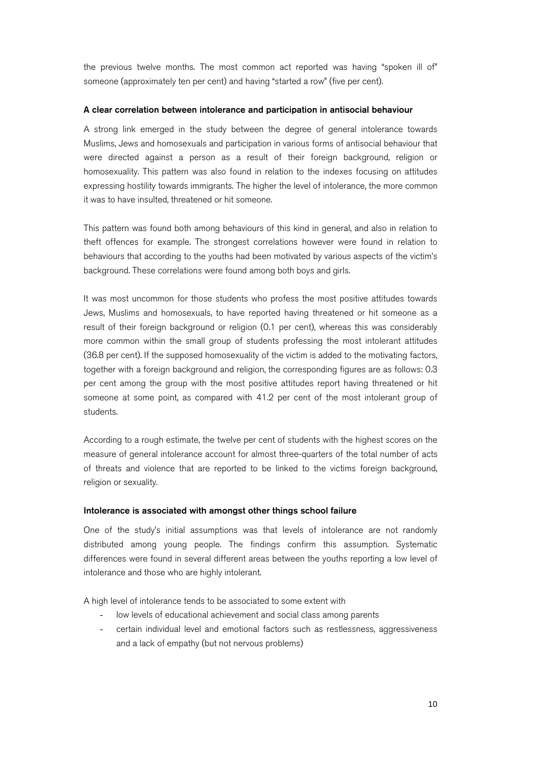the previous twelve months. The most common act reported was having "spoken ill of" someone (approximately ten per cent) and having "started a row" (five per cent).

#### A clear correlation between intolerance and participation in antisocial behaviour

A strong link emerged in the study between the degree of general intolerance towards Muslims, Jews and homosexuals and participation in various forms of antisocial behaviour that were directed against a person as a result of their foreign background, religion or homosexuality. This pattern was also found in relation to the indexes focusing on attitudes expressing hostility towards immigrants. The higher the level of intolerance, the more common it was to have insulted, threatened or hit someone.

This pattern was found both among behaviours of this kind in general, and also in relation to theft offences for example. The strongest correlations however were found in relation to behaviours that according to the youths had been motivated by various aspects of the victim's background. These correlations were found among both boys and girls.

It was most uncommon for those students who profess the most positive attitudes towards Jews, Muslims and homosexuals, to have reported having threatened or hit someone as a result of their foreign background or religion (0.1 per cent), whereas this was considerably more common within the small group of students professing the most intolerant attitudes (36.8 per cent). If the supposed homosexuality of the victim is added to the motivating factors, together with a foreign background and religion, the corresponding figures are as follows: 0.3 per cent among the group with the most positive attitudes report having threatened or hit someone at some point, as compared with 41.2 per cent of the most intolerant group of students.

According to a rough estimate, the twelve per cent of students with the highest scores on the measure of general intolerance account for almost three-quarters of the total number of acts of threats and violence that are reported to be linked to the victims foreign background, religion or sexuality.

#### Intolerance is associated with amongst other things school failure

One of the study's initial assumptions was that levels of intolerance are not randomly distributed among young people. The findings confirm this assumption. Systematic differences were found in several different areas between the youths reporting a low level of intolerance and those who are highly intolerant.

A high level of intolerance tends to be associated to some extent with

- low levels of educational achievement and social class among parents
- certain individual level and emotional factors such as restlessness, aggressiveness and a lack of empathy (but not nervous problems)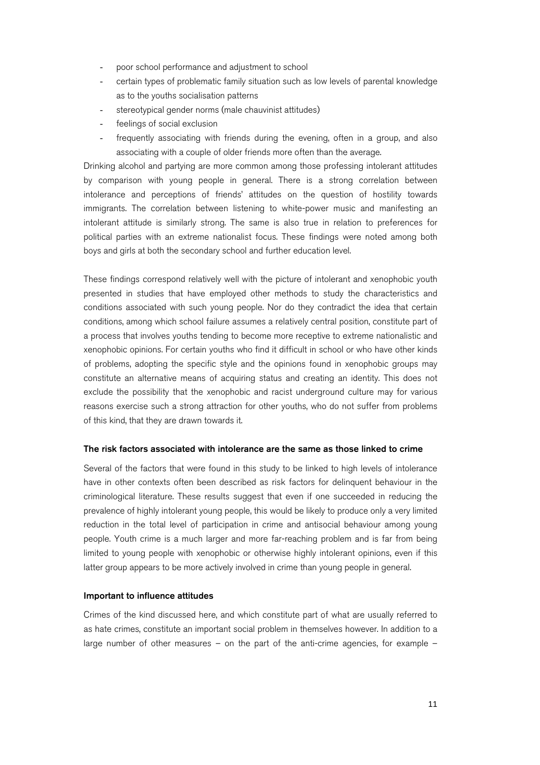- poor school performance and adjustment to school
- certain types of problematic family situation such as low levels of parental knowledge as to the youths socialisation patterns
- stereotypical gender norms (male chauvinist attitudes)
- feelings of social exclusion
- frequently associating with friends during the evening, often in a group, and also associating with a couple of older friends more often than the average.

Drinking alcohol and partying are more common among those professing intolerant attitudes by comparison with young people in general. There is a strong correlation between intolerance and perceptions of friends' attitudes on the question of hostility towards immigrants. The correlation between listening to white-power music and manifesting an intolerant attitude is similarly strong. The same is also true in relation to preferences for political parties with an extreme nationalist focus. These findings were noted among both boys and girls at both the secondary school and further education level.

These findings correspond relatively well with the picture of intolerant and xenophobic youth presented in studies that have employed other methods to study the characteristics and conditions associated with such young people. Nor do they contradict the idea that certain conditions, among which school failure assumes a relatively central position, constitute part of a process that involves youths tending to become more receptive to extreme nationalistic and xenophobic opinions. For certain youths who find it difficult in school or who have other kinds of problems, adopting the specific style and the opinions found in xenophobic groups may constitute an alternative means of acquiring status and creating an identity. This does not exclude the possibility that the xenophobic and racist underground culture may for various reasons exercise such a strong attraction for other youths, who do not suffer from problems of this kind, that they are drawn towards it.

#### The risk factors associated with intolerance are the same as those linked to crime

Several of the factors that were found in this study to be linked to high levels of intolerance have in other contexts often been described as risk factors for delinquent behaviour in the criminological literature. These results suggest that even if one succeeded in reducing the prevalence of highly intolerant young people, this would be likely to produce only a very limited reduction in the total level of participation in crime and antisocial behaviour among young people. Youth crime is a much larger and more far-reaching problem and is far from being limited to young people with xenophobic or otherwise highly intolerant opinions, even if this latter group appears to be more actively involved in crime than young people in general.

#### Important to influence attitudes

Crimes of the kind discussed here, and which constitute part of what are usually referred to as hate crimes, constitute an important social problem in themselves however. In addition to a large number of other measures – on the part of the anti-crime agencies, for example –